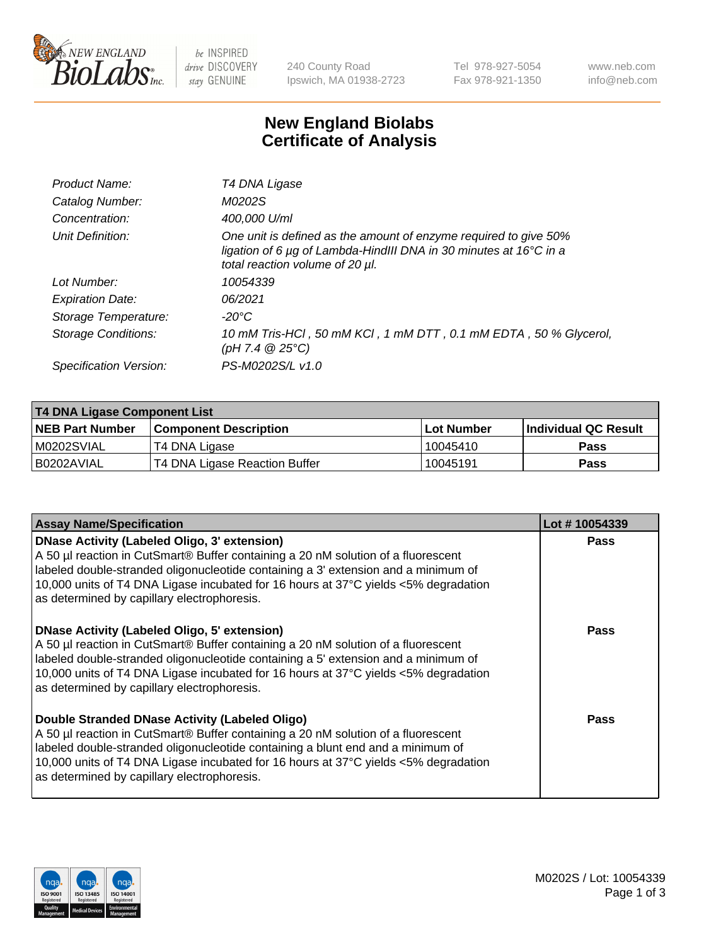

be INSPIRED drive DISCOVERY stay GENUINE

240 County Road Ipswich, MA 01938-2723 Tel 978-927-5054 Fax 978-921-1350 www.neb.com info@neb.com

## **New England Biolabs Certificate of Analysis**

| Product Name:           | T4 DNA Ligase                                                                                                                                                                           |
|-------------------------|-----------------------------------------------------------------------------------------------------------------------------------------------------------------------------------------|
| Catalog Number:         | M0202S                                                                                                                                                                                  |
| Concentration:          | 400,000 U/ml                                                                                                                                                                            |
| Unit Definition:        | One unit is defined as the amount of enzyme required to give 50%<br>ligation of 6 $\mu$ g of Lambda-HindIII DNA in 30 minutes at 16 $\degree$ C in a<br>total reaction volume of 20 µl. |
| Lot Number:             | 10054339                                                                                                                                                                                |
| <b>Expiration Date:</b> | 06/2021                                                                                                                                                                                 |
| Storage Temperature:    | -20°C                                                                                                                                                                                   |
| Storage Conditions:     | 10 mM Tris-HCl, 50 mM KCl, 1 mM DTT, 0.1 mM EDTA, 50 % Glycerol,<br>(pH 7.4 $@25°C$ )                                                                                                   |
| Specification Version:  | PS-M0202S/L v1.0                                                                                                                                                                        |

| T4 DNA Ligase Component List |                               |                   |                      |  |
|------------------------------|-------------------------------|-------------------|----------------------|--|
| <b>NEB Part Number</b>       | <b>Component Description</b>  | <b>Lot Number</b> | Individual QC Result |  |
| IM0202SVIAL                  | T4 DNA Ligase                 | 10045410          | <b>Pass</b>          |  |
| I B0202AVIAL                 | T4 DNA Ligase Reaction Buffer | 10045191          | <b>Pass</b>          |  |

| <b>Assay Name/Specification</b>                                                                                                                                                                                                                                                                                                                                      | Lot #10054339 |
|----------------------------------------------------------------------------------------------------------------------------------------------------------------------------------------------------------------------------------------------------------------------------------------------------------------------------------------------------------------------|---------------|
| <b>DNase Activity (Labeled Oligo, 3' extension)</b><br>A 50 µl reaction in CutSmart® Buffer containing a 20 nM solution of a fluorescent<br>labeled double-stranded oligonucleotide containing a 3' extension and a minimum of<br>10,000 units of T4 DNA Ligase incubated for 16 hours at 37°C yields <5% degradation<br>as determined by capillary electrophoresis. | <b>Pass</b>   |
| <b>DNase Activity (Labeled Oligo, 5' extension)</b><br>A 50 µl reaction in CutSmart® Buffer containing a 20 nM solution of a fluorescent<br>labeled double-stranded oligonucleotide containing a 5' extension and a minimum of<br>10,000 units of T4 DNA Ligase incubated for 16 hours at 37°C yields <5% degradation<br>as determined by capillary electrophoresis. | Pass          |
| Double Stranded DNase Activity (Labeled Oligo)<br>A 50 µl reaction in CutSmart® Buffer containing a 20 nM solution of a fluorescent<br>labeled double-stranded oligonucleotide containing a blunt end and a minimum of<br>10,000 units of T4 DNA Ligase incubated for 16 hours at 37°C yields <5% degradation<br>as determined by capillary electrophoresis.         | Pass          |

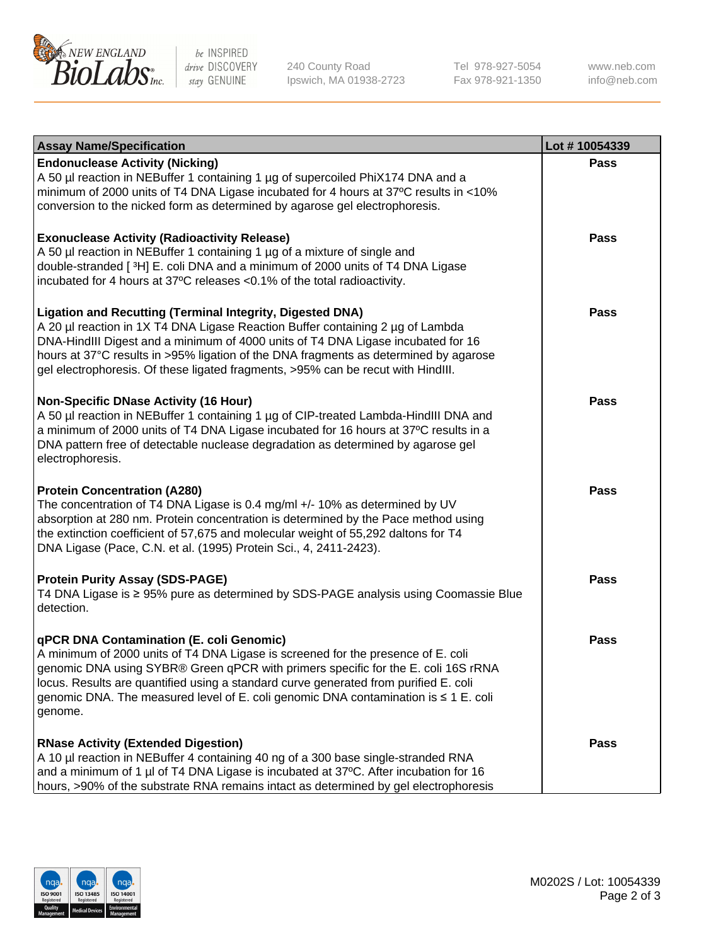

be INSPIRED drive DISCOVERY stay GENUINE

240 County Road Ipswich, MA 01938-2723 Tel 978-927-5054 Fax 978-921-1350

www.neb.com info@neb.com

| <b>Assay Name/Specification</b>                                                                                                                                                                                                                                                                                                                                                                                    | Lot #10054339 |
|--------------------------------------------------------------------------------------------------------------------------------------------------------------------------------------------------------------------------------------------------------------------------------------------------------------------------------------------------------------------------------------------------------------------|---------------|
| <b>Endonuclease Activity (Nicking)</b><br>A 50 µl reaction in NEBuffer 1 containing 1 µg of supercoiled PhiX174 DNA and a<br>minimum of 2000 units of T4 DNA Ligase incubated for 4 hours at 37°C results in <10%<br>conversion to the nicked form as determined by agarose gel electrophoresis.                                                                                                                   | <b>Pass</b>   |
| <b>Exonuclease Activity (Radioactivity Release)</b><br>A 50 µl reaction in NEBuffer 1 containing 1 µg of a mixture of single and<br>double-stranded [3H] E. coli DNA and a minimum of 2000 units of T4 DNA Ligase<br>incubated for 4 hours at 37°C releases <0.1% of the total radioactivity.                                                                                                                      | <b>Pass</b>   |
| <b>Ligation and Recutting (Terminal Integrity, Digested DNA)</b><br>A 20 µl reaction in 1X T4 DNA Ligase Reaction Buffer containing 2 µg of Lambda<br>DNA-HindIII Digest and a minimum of 4000 units of T4 DNA Ligase incubated for 16<br>hours at 37°C results in >95% ligation of the DNA fragments as determined by agarose<br>gel electrophoresis. Of these ligated fragments, >95% can be recut with HindIII. | <b>Pass</b>   |
| <b>Non-Specific DNase Activity (16 Hour)</b><br>A 50 µl reaction in NEBuffer 1 containing 1 µg of CIP-treated Lambda-HindIII DNA and<br>a minimum of 2000 units of T4 DNA Ligase incubated for 16 hours at 37°C results in a<br>DNA pattern free of detectable nuclease degradation as determined by agarose gel<br>electrophoresis.                                                                               | <b>Pass</b>   |
| <b>Protein Concentration (A280)</b><br>The concentration of T4 DNA Ligase is 0.4 mg/ml +/- 10% as determined by UV<br>absorption at 280 nm. Protein concentration is determined by the Pace method using<br>the extinction coefficient of 57,675 and molecular weight of 55,292 daltons for T4<br>DNA Ligase (Pace, C.N. et al. (1995) Protein Sci., 4, 2411-2423).                                                | <b>Pass</b>   |
| <b>Protein Purity Assay (SDS-PAGE)</b><br>T4 DNA Ligase is ≥ 95% pure as determined by SDS-PAGE analysis using Coomassie Blue<br>detection.                                                                                                                                                                                                                                                                        | <b>Pass</b>   |
| qPCR DNA Contamination (E. coli Genomic)<br>A minimum of 2000 units of T4 DNA Ligase is screened for the presence of E. coli<br>genomic DNA using SYBR® Green qPCR with primers specific for the E. coli 16S rRNA<br>locus. Results are quantified using a standard curve generated from purified E. coli<br>genomic DNA. The measured level of E. coli genomic DNA contamination is ≤ 1 E. coli<br>genome.        | Pass          |
| <b>RNase Activity (Extended Digestion)</b><br>A 10 µl reaction in NEBuffer 4 containing 40 ng of a 300 base single-stranded RNA<br>and a minimum of 1 µl of T4 DNA Ligase is incubated at 37°C. After incubation for 16<br>hours, >90% of the substrate RNA remains intact as determined by gel electrophoresis                                                                                                    | <b>Pass</b>   |